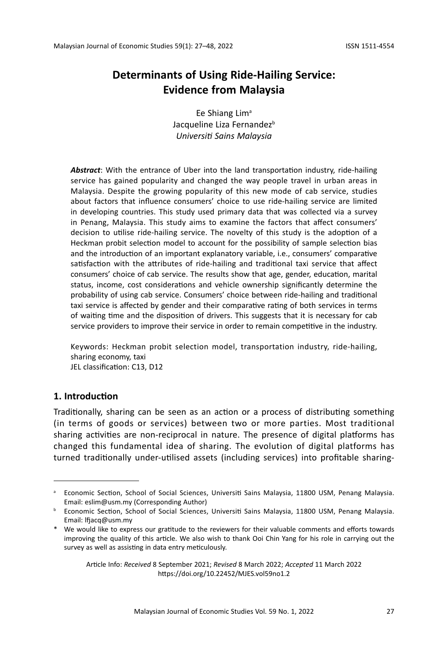# **Determinants of Using Ride-Hailing Service: Evidence from Malaysia**

Ee Shiang Lim $a$ Jacqueline Liza Fernandez<sup>b</sup> *Universiti Sains Malaysia*

*Abstract*: With the entrance of Uber into the land transportation industry, ride-hailing service has gained popularity and changed the way people travel in urban areas in Malaysia. Despite the growing popularity of this new mode of cab service, studies about factors that influence consumers' choice to use ride-hailing service are limited in developing countries. This study used primary data that was collected via a survey in Penang, Malaysia. This study aims to examine the factors that affect consumers' decision to utilise ride-hailing service. The novelty of this study is the adoption of a Heckman probit selection model to account for the possibility of sample selection bias and the introduction of an important explanatory variable, i.e., consumers' comparative satisfaction with the attributes of ride-hailing and traditional taxi service that affect consumers' choice of cab service. The results show that age, gender, education, marital status, income, cost considerations and vehicle ownership significantly determine the probability of using cab service. Consumers' choice between ride-hailing and traditional taxi service is affected by gender and their comparative rating of both services in terms of waiting time and the disposition of drivers. This suggests that it is necessary for cab service providers to improve their service in order to remain competitive in the industry.

Keywords: Heckman probit selection model, transportation industry, ride-hailing, sharing economy, taxi JEL classification: C13, D12

# **1. Introduction**

Traditionally, sharing can be seen as an action or a process of distributing something (in terms of goods or services) between two or more parties. Most traditional sharing activities are non-reciprocal in nature. The presence of digital platforms has changed this fundamental idea of sharing. The evolution of digital platforms has turned traditionally under-utilised assets (including services) into profitable sharing-

<sup>&</sup>lt;sup>a</sup> Economic Section, School of Social Sciences, Universiti Sains Malaysia, 11800 USM, Penang Malaysia. Email: eslim@usm.my (Corresponding Author)

**b** Economic Section, School of Social Sciences, Universiti Sains Malaysia, 11800 USM, Penang Malaysia. Email: lfjacq@usm.my

<sup>\*</sup> We would like to express our gratitude to the reviewers for their valuable comments and efforts towards improving the quality of this article. We also wish to thank Ooi Chin Yang for his role in carrying out the survey as well as assisting in data entry meticulously.

Article Info: *Received* 8 September 2021; *Revised* 8 March 2022; *Accepted* 11 March 2022 https://doi.org/10.22452/MJES.vol59no1.2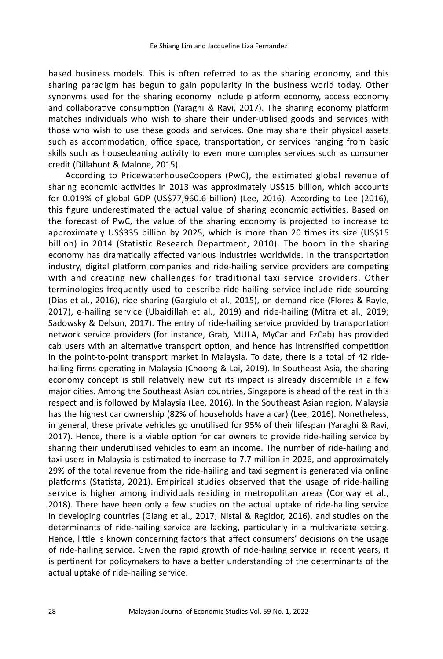based business models. This is often referred to as the sharing economy, and this sharing paradigm has begun to gain popularity in the business world today. Other synonyms used for the sharing economy include platform economy, access economy and collaborative consumption (Yaraghi & Ravi, 2017). The sharing economy platform matches individuals who wish to share their under-utilised goods and services with those who wish to use these goods and services. One may share their physical assets such as accommodation, office space, transportation, or services ranging from basic skills such as housecleaning activity to even more complex services such as consumer credit (Dillahunt & Malone, 2015).

According to PricewaterhouseCoopers (PwC), the estimated global revenue of sharing economic activities in 2013 was approximately US\$15 billion, which accounts for 0.019% of global GDP (US\$77,960.6 billion) (Lee, 2016). According to Lee (2016), this figure underestimated the actual value of sharing economic activities. Based on the forecast of PwC, the value of the sharing economy is projected to increase to approximately US\$335 billion by 2025, which is more than 20 times its size (US\$15 billion) in 2014 (Statistic Research Department, 2010). The boom in the sharing economy has dramatically affected various industries worldwide. In the transportation industry, digital platform companies and ride-hailing service providers are competing with and creating new challenges for traditional taxi service providers. Other terminologies frequently used to describe ride-hailing service include ride-sourcing (Dias et al., 2016), ride-sharing (Gargiulo et al., 2015), on-demand ride (Flores & Rayle, 2017), e-hailing service (Ubaidillah et al., 2019) and ride-hailing (Mitra et al., 2019; Sadowsky & Delson, 2017). The entry of ride-hailing service provided by transportation network service providers (for instance, Grab, MULA, MyCar and EzCab) has provided cab users with an alternative transport option, and hence has intrensified competition in the point-to-point transport market in Malaysia. To date, there is a total of 42 ridehailing firms operating in Malaysia (Choong & Lai, 2019). In Southeast Asia, the sharing economy concept is still relatively new but its impact is already discernible in a few major cities. Among the Southeast Asian countries, Singapore is ahead of the rest in this respect and is followed by Malaysia (Lee, 2016). In the Southeast Asian region, Malaysia has the highest car ownership (82% of households have a car) (Lee, 2016). Nonetheless, in general, these private vehicles go unutilised for 95% of their lifespan (Yaraghi & Ravi, 2017). Hence, there is a viable option for car owners to provide ride-hailing service by sharing their underutilised vehicles to earn an income. The number of ride-hailing and taxi users in Malaysia is estimated to increase to 7.7 million in 2026, and approximately 29% of the total revenue from the ride-hailing and taxi segment is generated via online platforms (Statista, 2021). Empirical studies observed that the usage of ride-hailing service is higher among individuals residing in metropolitan areas (Conway et al., 2018). There have been only a few studies on the actual uptake of ride-hailing service in developing countries (Giang et al., 2017; Nistal & Regidor, 2016), and studies on the determinants of ride-hailing service are lacking, particularly in a multivariate setting. Hence, little is known concerning factors that affect consumers' decisions on the usage of ride-hailing service. Given the rapid growth of ride-hailing service in recent years, it is pertinent for policymakers to have a better understanding of the determinants of the actual uptake of ride-hailing service.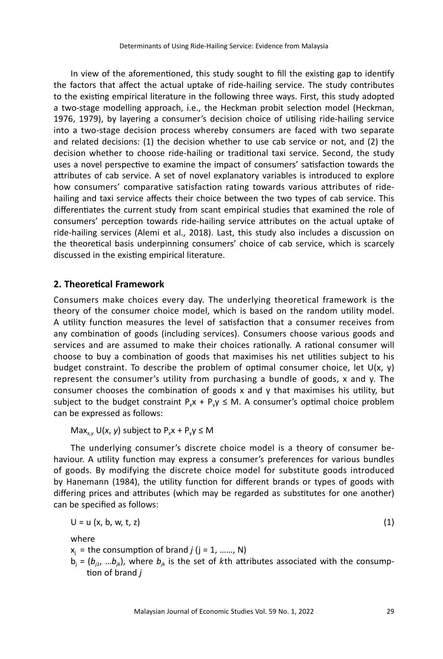In view of the aforementioned, this study sought to fill the existing gap to identify the factors that affect the actual uptake of ride-hailing service. The study contributes to the existing empirical literature in the following three ways. First, this study adopted a two-stage modelling approach, i.e., the Heckman probit selection model (Heckman, 1976, 1979), by layering a consumer's decision choice of utilising ride-hailing service into a two-stage decision process whereby consumers are faced with two separate and related decisions: (1) the decision whether to use cab service or not, and (2) the decision whether to choose ride-hailing or traditional taxi service. Second, the study uses a novel perspective to examine the impact of consumers' satisfaction towards the attributes of cab service. A set of novel explanatory variables is introduced to explore how consumers' comparative satisfaction rating towards various attributes of ridehailing and taxi service affects their choice between the two types of cab service. This differentiates the current study from scant empirical studies that examined the role of consumers' perception towards ride-hailing service attributes on the actual uptake of ride-hailing services (Alemi et al., 2018). Last, this study also includes a discussion on the theoretical basis underpinning consumers' choice of cab service, which is scarcely discussed in the existing empirical literature.

### **2. Theoretical Framework**

Consumers make choices every day. The underlying theoretical framework is the theory of the consumer choice model, which is based on the random utility model. A utility function measures the level of satisfaction that a consumer receives from any combination of goods (including services). Consumers choose various goods and services and are assumed to make their choices rationally. A rational consumer will choose to buy a combination of goods that maximises his net utilities subject to his budget constraint. To describe the problem of optimal consumer choice, let  $U(x, y)$ represent the consumer's utility from purchasing a bundle of goods, x and y. The consumer chooses the combination of goods x and y that maximises his utility, but subject to the budget constraint  $P_xx + P_yy \le M$ . A consumer's optimal choice problem can be expressed as follows:

Max<sub>xy</sub> U(x, y) subject to  $P_{x}x + P_{y}y \le M$ 

The underlying consumer's discrete choice model is a theory of consumer behaviour. A utility function may express a consumer's preferences for various bundles of goods. By modifying the discrete choice model for substitute goods introduced by Hanemann (1984), the utility function for different brands or types of goods with differing prices and attributes (which may be regarded as substitutes for one another) can be specified as follows:

$$
U = u (x, b, w, t, z) \tag{1}
$$

where

- $x_i$  = the consumption of brand *j* ( $j = 1, \dots, N$ )
- $b_i = (b_{i1}, \ldots, b_{ik})$ , where  $b_{ik}$  is the set of kth attributes associated with the consumption of brand *j*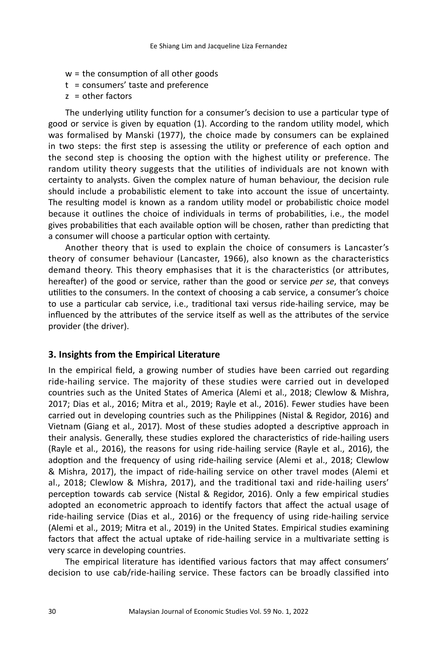- w = the consumption of all other goods
- $t = \text{consumers}'$  taste and preference
- $z =$  other factors

The underlying utility function for a consumer's decision to use a particular type of good or service is given by equation (1). According to the random utility model, which was formalised by Manski (1977), the choice made by consumers can be explained in two steps: the first step is assessing the utility or preference of each option and the second step is choosing the option with the highest utility or preference. The random utility theory suggests that the utilities of individuals are not known with certainty to analysts. Given the complex nature of human behaviour, the decision rule should include a probabilistic element to take into account the issue of uncertainty. The resulting model is known as a random utility model or probabilistic choice model because it outlines the choice of individuals in terms of probabilities, i.e., the model gives probabilities that each available option will be chosen, rather than predicting that a consumer will choose a particular option with certainty.

Another theory that is used to explain the choice of consumers is Lancaster's theory of consumer behaviour (Lancaster, 1966), also known as the characteristics demand theory. This theory emphasises that it is the characteristics (or attributes, hereafter) of the good or service, rather than the good or service *per se*, that conveys utilities to the consumers. In the context of choosing a cab service, a consumer's choice to use a particular cab service, i.e., traditional taxi versus ride-hailing service, may be influenced by the attributes of the service itself as well as the attributes of the service provider (the driver).

#### **3. Insights from the Empirical Literature**

In the empirical field, a growing number of studies have been carried out regarding ride-hailing service. The majority of these studies were carried out in developed countries such as the United States of America (Alemi et al., 2018; Clewlow & Mishra, 2017; Dias et al., 2016; Mitra et al., 2019; Rayle et al., 2016). Fewer studies have been carried out in developing countries such as the Philippines (Nistal & Regidor, 2016) and Vietnam (Giang et al., 2017). Most of these studies adopted a descriptive approach in their analysis. Generally, these studies explored the characteristics of ride-hailing users (Rayle et al., 2016), the reasons for using ride-hailing service (Rayle et al., 2016), the adoption and the frequency of using ride-hailing service (Alemi et al., 2018; Clewlow & Mishra, 2017), the impact of ride-hailing service on other travel modes (Alemi et al., 2018; Clewlow & Mishra, 2017), and the traditional taxi and ride-hailing users' perception towards cab service (Nistal & Regidor, 2016). Only a few empirical studies adopted an econometric approach to identify factors that affect the actual usage of ride-hailing service (Dias et al., 2016) or the frequency of using ride-hailing service (Alemi et al., 2019; Mitra et al., 2019) in the United States. Empirical studies examining factors that affect the actual uptake of ride-hailing service in a multivariate setting is very scarce in developing countries.

The empirical literature has identified various factors that may affect consumers' decision to use cab/ride-hailing service. These factors can be broadly classified into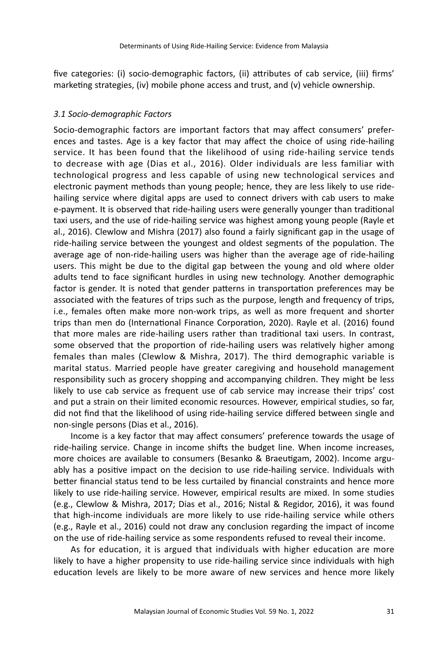five categories: (i) socio-demographic factors, (ii) attributes of cab service, (iii) firms' marketing strategies, (iv) mobile phone access and trust, and (v) vehicle ownership.

### *3.1 Socio-demographic Factors*

Socio-demographic factors are important factors that may affect consumers' preferences and tastes. Age is a key factor that may affect the choice of using ride-hailing service. It has been found that the likelihood of using ride-hailing service tends to decrease with age (Dias et al., 2016). Older individuals are less familiar with technological progress and less capable of using new technological services and electronic payment methods than young people; hence, they are less likely to use ridehailing service where digital apps are used to connect drivers with cab users to make e-payment. It is observed that ride-hailing users were generally younger than traditional taxi users, and the use of ride-hailing service was highest among young people (Rayle et al., 2016). Clewlow and Mishra (2017) also found a fairly significant gap in the usage of ride-hailing service between the youngest and oldest segments of the population. The average age of non-ride-hailing users was higher than the average age of ride-hailing users. This might be due to the digital gap between the young and old where older adults tend to face significant hurdles in using new technology. Another demographic factor is gender. It is noted that gender patterns in transportation preferences may be associated with the features of trips such as the purpose, length and frequency of trips, i.e., females often make more non-work trips, as well as more frequent and shorter trips than men do (International Finance Corporation, 2020). Rayle et al. (2016) found that more males are ride-hailing users rather than traditional taxi users. In contrast, some observed that the proportion of ride-hailing users was relatively higher among females than males (Clewlow & Mishra, 2017). The third demographic variable is marital status. Married people have greater caregiving and household management responsibility such as grocery shopping and accompanying children. They might be less likely to use cab service as frequent use of cab service may increase their trips' cost and put a strain on their limited economic resources. However, empirical studies, so far, did not find that the likelihood of using ride-hailing service differed between single and non-single persons (Dias et al., 2016).

Income is a key factor that may affect consumers' preference towards the usage of ride-hailing service. Change in income shifts the budget line. When income increases, more choices are available to consumers (Besanko & Braeutigam, 2002). Income arguably has a positive impact on the decision to use ride-hailing service. Individuals with better financial status tend to be less curtailed by financial constraints and hence more likely to use ride-hailing service. However, empirical results are mixed. In some studies (e.g., Clewlow & Mishra, 2017; Dias et al., 2016; Nistal & Regidor, 2016), it was found that high-income individuals are more likely to use ride-hailing service while others (e.g., Rayle et al., 2016) could not draw any conclusion regarding the impact of income on the use of ride-hailing service as some respondents refused to reveal their income.

As for education, it is argued that individuals with higher education are more likely to have a higher propensity to use ride-hailing service since individuals with high education levels are likely to be more aware of new services and hence more likely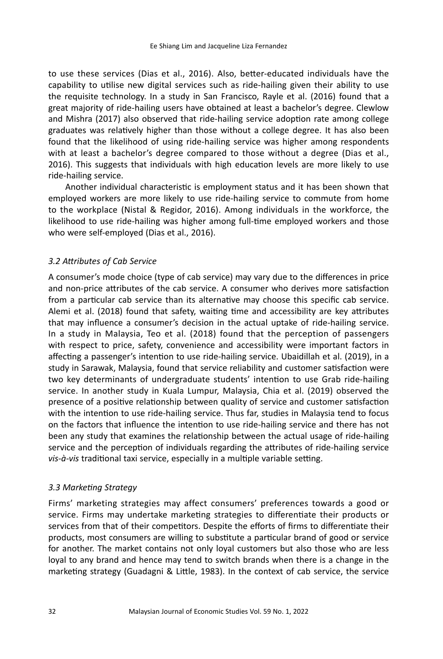to use these services (Dias et al., 2016). Also, better-educated individuals have the capability to utilise new digital services such as ride-hailing given their ability to use the requisite technology. In a study in San Francisco, Rayle et al. (2016) found that a great majority of ride-hailing users have obtained at least a bachelor's degree. Clewlow and Mishra (2017) also observed that ride-hailing service adoption rate among college graduates was relatively higher than those without a college degree. It has also been found that the likelihood of using ride-hailing service was higher among respondents with at least a bachelor's degree compared to those without a degree (Dias et al., 2016). This suggests that individuals with high education levels are more likely to use ride-hailing service.

Another individual characteristic is employment status and it has been shown that employed workers are more likely to use ride-hailing service to commute from home to the workplace (Nistal & Regidor, 2016). Among individuals in the workforce, the likelihood to use ride-hailing was higher among full-time employed workers and those who were self-employed (Dias et al., 2016).

### *3.2 Attributes of Cab Service*

A consumer's mode choice (type of cab service) may vary due to the differences in price and non-price attributes of the cab service. A consumer who derives more satisfaction from a particular cab service than its alternative may choose this specific cab service. Alemi et al. (2018) found that safety, waiting time and accessibility are key attributes that may influence a consumer's decision in the actual uptake of ride-hailing service. In a study in Malaysia, Teo et al. (2018) found that the perception of passengers with respect to price, safety, convenience and accessibility were important factors in affecting a passenger's intention to use ride-hailing service. Ubaidillah et al. (2019), in a study in Sarawak, Malaysia, found that service reliability and customer satisfaction were two key determinants of undergraduate students' intention to use Grab ride-hailing service. In another study in Kuala Lumpur, Malaysia, Chia et al. (2019) observed the presence of a positive relationship between quality of service and customer satisfaction with the intention to use ride-hailing service. Thus far, studies in Malaysia tend to focus on the factors that influence the intention to use ride-hailing service and there has not been any study that examines the relationship between the actual usage of ride-hailing service and the perception of individuals regarding the attributes of ride-hailing service *vis-à-vis* traditional taxi service, especially in a multiple variable setting.

#### *3.3 Marketing Strategy*

Firms' marketing strategies may affect consumers' preferences towards a good or service. Firms may undertake marketing strategies to differentiate their products or services from that of their competitors. Despite the efforts of firms to differentiate their products, most consumers are willing to substitute a particular brand of good or service for another. The market contains not only loyal customers but also those who are less loyal to any brand and hence may tend to switch brands when there is a change in the marketing strategy (Guadagni & Little, 1983). In the context of cab service, the service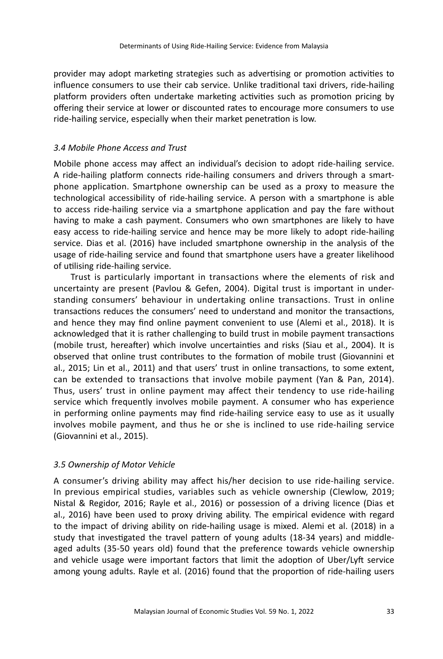provider may adopt marketing strategies such as advertising or promotion activities to influence consumers to use their cab service. Unlike traditional taxi drivers, ride-hailing platform providers often undertake marketing activities such as promotion pricing by offering their service at lower or discounted rates to encourage more consumers to use ride-hailing service, especially when their market penetration is low.

### *3.4 Mobile Phone Access and Trust*

Mobile phone access may affect an individual's decision to adopt ride-hailing service. A ride-hailing platform connects ride-hailing consumers and drivers through a smartphone application. Smartphone ownership can be used as a proxy to measure the technological accessibility of ride-hailing service. A person with a smartphone is able to access ride-hailing service via a smartphone application and pay the fare without having to make a cash payment. Consumers who own smartphones are likely to have easy access to ride-hailing service and hence may be more likely to adopt ride-hailing service. Dias et al. (2016) have included smartphone ownership in the analysis of the usage of ride-hailing service and found that smartphone users have a greater likelihood of utilising ride-hailing service.

Trust is particularly important in transactions where the elements of risk and uncertainty are present (Pavlou & Gefen, 2004). Digital trust is important in understanding consumers' behaviour in undertaking online transactions. Trust in online transactions reduces the consumers' need to understand and monitor the transactions, and hence they may find online payment convenient to use (Alemi et al., 2018). It is acknowledged that it is rather challenging to build trust in mobile payment transactions (mobile trust, hereafter) which involve uncertainties and risks (Siau et al., 2004). It is observed that online trust contributes to the formation of mobile trust (Giovannini et al., 2015; Lin et al., 2011) and that users' trust in online transactions, to some extent, can be extended to transactions that involve mobile payment (Yan & Pan, 2014). Thus, users' trust in online payment may affect their tendency to use ride-hailing service which frequently involves mobile payment. A consumer who has experience in performing online payments may find ride-hailing service easy to use as it usually involves mobile payment, and thus he or she is inclined to use ride-hailing service (Giovannini et al., 2015).

# *3.5 Ownership of Motor Vehicle*

A consumer's driving ability may affect his/her decision to use ride-hailing service. In previous empirical studies, variables such as vehicle ownership (Clewlow, 2019; Nistal & Regidor, 2016; Rayle et al., 2016) or possession of a driving licence (Dias et al., 2016) have been used to proxy driving ability. The empirical evidence with regard to the impact of driving ability on ride-hailing usage is mixed. Alemi et al. (2018) in a study that investigated the travel pattern of young adults (18-34 years) and middleaged adults (35-50 years old) found that the preference towards vehicle ownership and vehicle usage were important factors that limit the adoption of Uber/Lyft service among young adults. Rayle et al. (2016) found that the proportion of ride-hailing users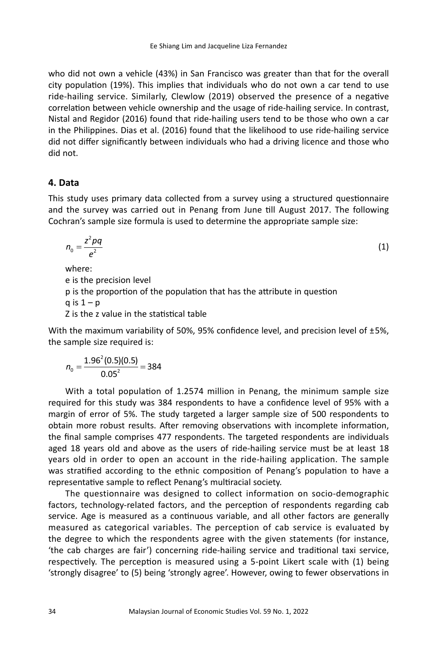who did not own a vehicle (43%) in San Francisco was greater than that for the overall city population (19%). This implies that individuals who do not own a car tend to use ride-hailing service. Similarly, Clewlow (2019) observed the presence of a negative correlation between vehicle ownership and the usage of ride-hailing service. In contrast, Nistal and Regidor (2016) found that ride-hailing users tend to be those who own a car in the Philippines. Dias et al. (2016) found that the likelihood to use ride-hailing service did not differ significantly between individuals who had a driving licence and those who did not.

# **4. Data**

This study uses primary data collected from a survey using a structured questionnaire and the survey was carried out in Penang from June till August 2017. The following Cochran's sample size formula is used to determine the appropriate sample size:

$$
n_0 = \frac{z^2 \rho q}{e^2} \tag{1}
$$

where:

e is the precision level

p is the proportion of the population that has the attribute in question

 $a$  is  $1 - p$ 

Z is the z value in the statistical table

With the maximum variability of 50%, 95% confidence level, and precision level of ±5%, the sample size required is:

$$
n_0 = \frac{1.96^2(0.5)(0.5)}{0.05^2} = 384
$$

With a total population of 1.2574 million in Penang, the minimum sample size required for this study was 384 respondents to have a confidence level of 95% with a margin of error of 5%. The study targeted a larger sample size of 500 respondents to obtain more robust results. After removing observations with incomplete information, the final sample comprises 477 respondents. The targeted respondents are individuals aged 18 years old and above as the users of ride-hailing service must be at least 18 years old in order to open an account in the ride-hailing application. The sample was stratified according to the ethnic composition of Penang's population to have a representative sample to reflect Penang's multiracial society.

The questionnaire was designed to collect information on socio-demographic factors, technology-related factors, and the perception of respondents regarding cab service. Age is measured as a continuous variable, and all other factors are generally measured as categorical variables. The perception of cab service is evaluated by the degree to which the respondents agree with the given statements (for instance, 'the cab charges are fair') concerning ride-hailing service and traditional taxi service, respectively. The perception is measured using a 5-point Likert scale with (1) being 'strongly disagree' to (5) being 'strongly agree'. However, owing to fewer observations in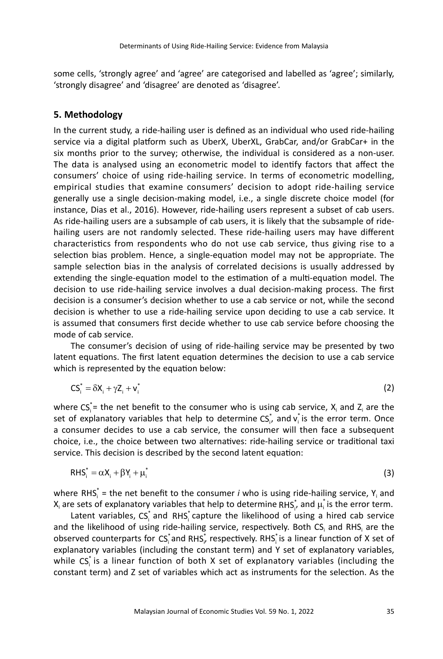some cells, 'strongly agree' and 'agree' are categorised and labelled as 'agree'; similarly, 'strongly disagree' and 'disagree' are denoted as 'disagree'.

# **5. Methodology**

In the current study, a ride-hailing user is defined as an individual who used ride-hailing service via a digital platform such as UberX, UberXL, GrabCar, and/or GrabCar+ in the six months prior to the survey; otherwise, the individual is considered as a non-user. The data is analysed using an econometric model to identify factors that affect the consumers' choice of using ride-hailing service. In terms of econometric modelling, empirical studies that examine consumers' decision to adopt ride-hailing service generally use a single decision-making model, i.e., a single discrete choice model (for instance, Dias et al., 2016). However, ride-hailing users represent a subset of cab users. As ride-hailing users are a subsample of cab users, it is likely that the subsample of ridehailing users are not randomly selected. These ride-hailing users may have different characteristics from respondents who do not use cab service, thus giving rise to a selection bias problem. Hence, a single-equation model may not be appropriate. The sample selection bias in the analysis of correlated decisions is usually addressed by extending the single-equation model to the estimation of a multi-equation model. The decision to use ride-hailing service involves a dual decision-making process. The first decision is a consumer's decision whether to use a cab service or not, while the second decision is whether to use a ride-hailing service upon deciding to use a cab service. It is assumed that consumers first decide whether to use cab service before choosing the mode of cab service.

The consumer's decision of using of ride-hailing service may be presented by two latent equations. The first latent equation determines the decision to use a cab service which is represented by the equation below:

$$
CS_i^* = \delta X_i + \gamma Z_i + \mathbf{v}_i^* \tag{2}
$$

where  $CS_i^*$  the net benefit to the consumer who is using cab service,  $X_i$  and  $Z_i$  are the set of explanatory variables that help to determine  $\text{CS}_i^*$ , and  $\text{v}_i^*$  is the error term. Once a consumer decides to use a cab service, the consumer will then face a subsequent choice, i.e., the choice between two alternatives: ride-hailing service or traditional taxi service. This decision is described by the second latent equation:

$$
RHSi* = \alpha Xi + \beta Yi + \mui*
$$
 (3)

where RHS<sub>i</sub><sup>\*</sup> = the net benefit to the consumer *i* who is using ride-hailing service, Y<sub>i</sub> and  $X_i$  are sets of explanatory variables that help to determine RHS $_i^*$  and  $\mu_i^*$  is the error term.

Latent variables,  $CS_i^*$  and  $RHS_i^*$  capture the likelihood of using a hired cab service and the likelihood of using ride-hailing service, respectively. Both CS<sub>i</sub> and RHS<sub>i</sub> are the observed counterparts for  $\text{CS}_\text{i}^*$ and RHS $_\text{i}^*$  respectively. RHS $_\text{i}^*$ is a linear function of X set of explanatory variables (including the constant term) and Y set of explanatory variables, while  $CS_i^*$  is a linear function of both X set of explanatory variables (including the constant term) and Z set of variables which act as instruments for the selection. As the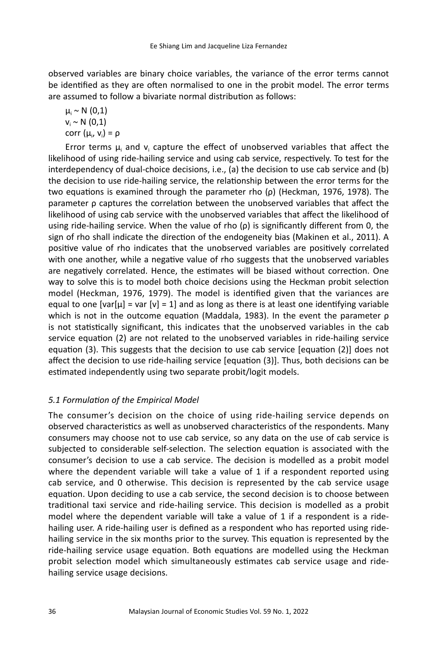observed variables are binary choice variables, the variance of the error terms cannot be identified as they are often normalised to one in the probit model. The error terms are assumed to follow a bivariate normal distribution as follows:

 $\mu_i \sim N(0,1)$  $v_i \sim N(0,1)$ corr  $(\mu_i, v_i) = \rho$ 

Error terms  $\mu_i$  and  $v_i$  capture the effect of unobserved variables that affect the likelihood of using ride-hailing service and using cab service, respectively. To test for the interdependency of dual-choice decisions, i.e., (a) the decision to use cab service and (b) the decision to use ride-hailing service, the relationship between the error terms for the two equations is examined through the parameter rho (ρ) (Heckman, 1976, 1978). The parameter ρ captures the correlation between the unobserved variables that affect the likelihood of using cab service with the unobserved variables that affect the likelihood of using ride-hailing service. When the value of rho  $(\rho)$  is significantly different from 0, the sign of rho shall indicate the direction of the endogeneity bias (Makinen et al., 2011). A positive value of rho indicates that the unobserved variables are positively correlated with one another, while a negative value of rho suggests that the unobserved variables are negatively correlated. Hence, the estimates will be biased without correction. One way to solve this is to model both choice decisions using the Heckman probit selection model (Heckman, 1976, 1979). The model is identified given that the variances are equal to one  $[var[\mu] = var[\nu] = 1]$  and as long as there is at least one identifying variable which is not in the outcome equation (Maddala, 1983). In the event the parameter  $\rho$ is not statistically significant, this indicates that the unobserved variables in the cab service equation (2) are not related to the unobserved variables in ride-hailing service equation (3). This suggests that the decision to use cab service [equation (2)] does not affect the decision to use ride-hailing service [equation (3)]. Thus, both decisions can be estimated independently using two separate probit/logit models.

# *5.1 Formulation of the Empirical Model*

The consumer's decision on the choice of using ride-hailing service depends on observed characteristics as well as unobserved characteristics of the respondents. Many consumers may choose not to use cab service, so any data on the use of cab service is subjected to considerable self-selection. The selection equation is associated with the consumer's decision to use a cab service. The decision is modelled as a probit model where the dependent variable will take a value of 1 if a respondent reported using cab service, and 0 otherwise. This decision is represented by the cab service usage equation. Upon deciding to use a cab service, the second decision is to choose between traditional taxi service and ride-hailing service. This decision is modelled as a probit model where the dependent variable will take a value of 1 if a respondent is a ridehailing user. A ride-hailing user is defined as a respondent who has reported using ridehailing service in the six months prior to the survey. This equation is represented by the ride-hailing service usage equation. Both equations are modelled using the Heckman probit selection model which simultaneously estimates cab service usage and ridehailing service usage decisions.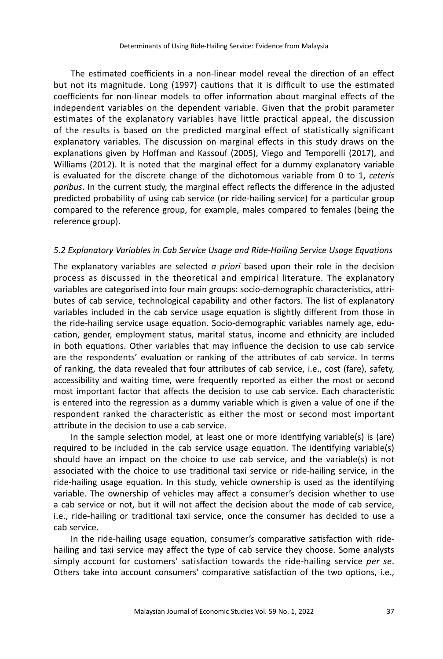The estimated coefficients in a non-linear model reveal the direction of an effect but not its magnitude. Long (1997) cautions that it is difficult to use the estimated coefficients for non-linear models to offer information about marginal effects of the independent variables on the dependent variable. Given that the probit parameter estimates of the explanatory variables have little practical appeal, the discussion of the results is based on the predicted marginal effect of statistically significant explanatory variables. The discussion on marginal effects in this study draws on the explanations given by Hoffman and Kassouf (2005), Viego and Temporelli (2017), and Williams (2012). It is noted that the marginal effect for a dummy explanatory variable is evaluated for the discrete change of the dichotomous variable from 0 to 1, *ceteris paribus*. In the current study, the marginal effect reflects the difference in the adjusted predicted probability of using cab service (or ride-hailing service) for a particular group compared to the reference group, for example, males compared to females (being the reference group).

#### *5.2 Explanatory Variables in Cab Service Usage and Ride-Hailing Service Usage Equations*

The explanatory variables are selected *a priori* based upon their role in the decision process as discussed in the theoretical and empirical literature. The explanatory variables are categorised into four main groups: socio-demographic characteristics, attributes of cab service, technological capability and other factors. The list of explanatory variables included in the cab service usage equation is slightly different from those in the ride-hailing service usage equation. Socio-demographic variables namely age, education, gender, employment status, marital status, income and ethnicity are included in both equations. Other variables that may influence the decision to use cab service are the respondents' evaluation or ranking of the attributes of cab service. In terms of ranking, the data revealed that four attributes of cab service, i.e., cost (fare), safety, accessibility and waiting time, were frequently reported as either the most or second most important factor that affects the decision to use cab service. Each characteristic is entered into the regression as a dummy variable which is given a value of one if the respondent ranked the characteristic as either the most or second most important attribute in the decision to use a cab service.

In the sample selection model, at least one or more identifying variable(s) is (are) required to be included in the cab service usage equation. The identifying variable(s) should have an impact on the choice to use cab service, and the variable(s) is not associated with the choice to use traditional taxi service or ride-hailing service, in the ride-hailing usage equation. In this study, vehicle ownership is used as the identifying variable. The ownership of vehicles may affect a consumer's decision whether to use a cab service or not, but it will not affect the decision about the mode of cab service, i.e., ride-hailing or traditional taxi service, once the consumer has decided to use a cab service.

In the ride-hailing usage equation, consumer's comparative satisfaction with ridehailing and taxi service may affect the type of cab service they choose. Some analysts simply account for customers' satisfaction towards the ride-hailing service *per se*. Others take into account consumers' comparative satisfaction of the two options, i.e.,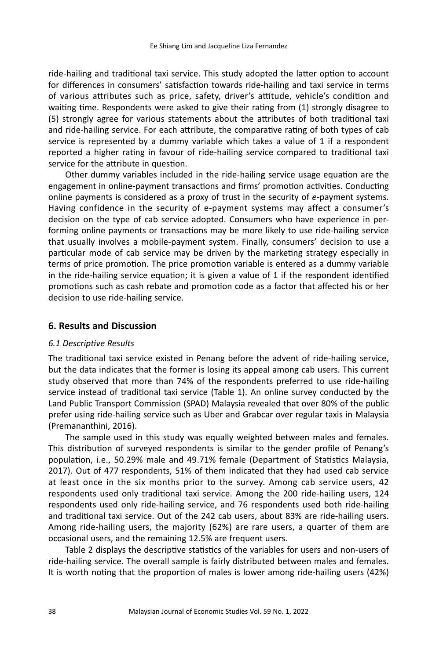ride-hailing and traditional taxi service. This study adopted the latter option to account for differences in consumers' satisfaction towards ride-hailing and taxi service in terms of various attributes such as price, safety, driver's attitude, vehicle's condition and waiting time. Respondents were asked to give their rating from (1) strongly disagree to (5) strongly agree for various statements about the attributes of both traditional taxi and ride-hailing service. For each attribute, the comparative rating of both types of cab service is represented by a dummy variable which takes a value of 1 if a respondent reported a higher rating in favour of ride-hailing service compared to traditional taxi service for the attribute in question.

Other dummy variables included in the ride-hailing service usage equation are the engagement in online-payment transactions and firms' promotion activities. Conducting online payments is considered as a proxy of trust in the security of *e*-payment systems. Having confidence in the security of e-payment systems may affect a consumer's decision on the type of cab service adopted. Consumers who have experience in performing online payments or transactions may be more likely to use ride-hailing service that usually involves a mobile-payment system. Finally, consumers' decision to use a particular mode of cab service may be driven by the marketing strategy especially in terms of price promotion. The price promotion variable is entered as a dummy variable in the ride-hailing service equation; it is given a value of 1 if the respondent identified promotions such as cash rebate and promotion code as a factor that affected his or her decision to use ride-hailing service.

#### **6. Results and Discussion**

#### *6.1 Descriptive Results*

The traditional taxi service existed in Penang before the advent of ride-hailing service, but the data indicates that the former is losing its appeal among cab users. This current study observed that more than 74% of the respondents preferred to use ride-hailing service instead of traditional taxi service (Table 1). An online survey conducted by the Land Public Transport Commission (SPAD) Malaysia revealed that over 80% of the public prefer using ride-hailing service such as Uber and Grabcar over regular taxis in Malaysia (Premananthini, 2016).

The sample used in this study was equally weighted between males and females. This distribution of surveyed respondents is similar to the gender profile of Penang's population, i.e., 50.29% male and 49.71% female (Department of Statistics Malaysia, 2017). Out of 477 respondents, 51% of them indicated that they had used cab service at least once in the six months prior to the survey. Among cab service users, 42 respondents used only traditional taxi service. Among the 200 ride-hailing users, 124 respondents used only ride-hailing service, and 76 respondents used both ride-hailing and traditional taxi service. Out of the 242 cab users, about 83% are ride-hailing users. Among ride-hailing users, the majority (62%) are rare users, a quarter of them are occasional users, and the remaining 12.5% are frequent users.

Table 2 displays the descriptive statistics of the variables for users and non-users of ride-hailing service. The overall sample is fairly distributed between males and females. It is worth noting that the proportion of males is lower among ride-hailing users (42%)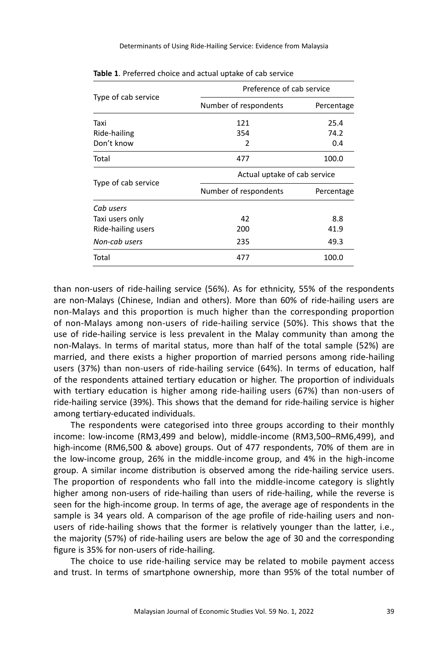|                     | Preference of cab service    |            |  |  |
|---------------------|------------------------------|------------|--|--|
| Type of cab service | Number of respondents        | Percentage |  |  |
| Taxi                | 121                          | 25.4       |  |  |
| Ride-hailing        | 354                          | 74.2       |  |  |
| Don't know          | 2                            | 0.4        |  |  |
| Total               | 477                          | 100.0      |  |  |
| Type of cab service | Actual uptake of cab service |            |  |  |
|                     | Number of respondents        | Percentage |  |  |
| Cab users           |                              |            |  |  |
| Taxi users only     | 42                           | 8.8        |  |  |
| Ride-hailing users  | 200                          | 41.9       |  |  |
| Non-cab users       | 235                          | 49.3       |  |  |
| Total               | 100.0<br>477                 |            |  |  |
|                     |                              |            |  |  |

**Table 1**. Preferred choice and actual uptake of cab service

than non-users of ride-hailing service (56%). As for ethnicity, 55% of the respondents are non-Malays (Chinese, Indian and others). More than 60% of ride-hailing users are non-Malays and this proportion is much higher than the corresponding proportion of non-Malays among non-users of ride-hailing service (50%). This shows that the use of ride-hailing service is less prevalent in the Malay community than among the non-Malays. In terms of marital status, more than half of the total sample (52%) are married, and there exists a higher proportion of married persons among ride-hailing users (37%) than non-users of ride-hailing service (64%). In terms of education, half of the respondents attained tertiary education or higher. The proportion of individuals with tertiary education is higher among ride-hailing users (67%) than non-users of ride-hailing service (39%). This shows that the demand for ride-hailing service is higher among tertiary-educated individuals.

The respondents were categorised into three groups according to their monthly income: low-income (RM3,499 and below), middle-income (RM3,500–RM6,499), and high-income (RM6,500 & above) groups. Out of 477 respondents, 70% of them are in the low-income group, 26% in the middle-income group, and 4% in the high-income group. A similar income distribution is observed among the ride-hailing service users. The proportion of respondents who fall into the middle-income category is slightly higher among non-users of ride-hailing than users of ride-hailing, while the reverse is seen for the high-income group. In terms of age, the average age of respondents in the sample is 34 years old. A comparison of the age profile of ride-hailing users and nonusers of ride-hailing shows that the former is relatively younger than the latter, i.e., the majority (57%) of ride-hailing users are below the age of 30 and the corresponding figure is 35% for non-users of ride-hailing.

The choice to use ride-hailing service may be related to mobile payment access and trust. In terms of smartphone ownership, more than 95% of the total number of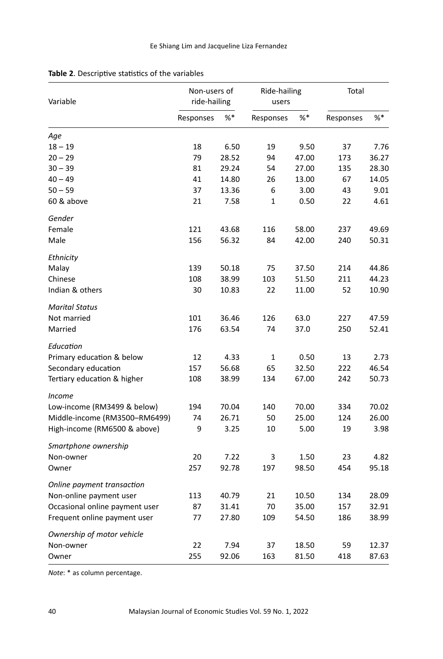| Variable                       | Non-users of<br>ride-hailing |       | Ride-hailing<br>users |       | Total     |       |
|--------------------------------|------------------------------|-------|-----------------------|-------|-----------|-------|
|                                | Responses                    | %*    | Responses             | $%$ * | Responses | %     |
| Age                            |                              |       |                       |       |           |       |
| $18 - 19$                      | 18                           | 6.50  | 19                    | 9.50  | 37        | 7.76  |
| $20 - 29$                      | 79                           | 28.52 | 94                    | 47.00 | 173       | 36.27 |
| $30 - 39$                      | 81                           | 29.24 | 54                    | 27.00 | 135       | 28.30 |
| $40 - 49$                      | 41                           | 14.80 | 26                    | 13.00 | 67        | 14.05 |
| $50 - 59$                      | 37                           | 13.36 | 6                     | 3.00  | 43        | 9.01  |
| 60 & above                     | 21                           | 7.58  | 1                     | 0.50  | 22        | 4.61  |
| Gender                         |                              |       |                       |       |           |       |
| Female                         | 121                          | 43.68 | 116                   | 58.00 | 237       | 49.69 |
| Male                           | 156                          | 56.32 | 84                    | 42.00 | 240       | 50.31 |
| Ethnicity                      |                              |       |                       |       |           |       |
| Malay                          | 139                          | 50.18 | 75                    | 37.50 | 214       | 44.86 |
| Chinese                        | 108                          | 38.99 | 103                   | 51.50 | 211       | 44.23 |
| Indian & others                | 30                           | 10.83 | 22                    | 11.00 | 52        | 10.90 |
| <b>Marital Status</b>          |                              |       |                       |       |           |       |
| Not married                    | 101                          | 36.46 | 126                   | 63.0  | 227       | 47.59 |
| Married                        | 176                          | 63.54 | 74                    | 37.0  | 250       | 52.41 |
| Education                      |                              |       |                       |       |           |       |
| Primary education & below      | 12                           | 4.33  | 1                     | 0.50  | 13        | 2.73  |
| Secondary education            | 157                          | 56.68 | 65                    | 32.50 | 222       | 46.54 |
| Tertiary education & higher    | 108                          | 38.99 | 134                   | 67.00 | 242       | 50.73 |
| <b>Income</b>                  |                              |       |                       |       |           |       |
| Low-income (RM3499 & below)    | 194                          | 70.04 | 140                   | 70.00 | 334       | 70.02 |
| Middle-income (RM3500-RM6499)  | 74                           | 26.71 | 50                    | 25.00 | 124       | 26.00 |
| High-income (RM6500 & above)   | 9                            | 3.25  | 10                    | 5.00  | 19        | 3.98  |
| Smartphone ownership           |                              |       |                       |       |           |       |
| Non-owner                      | 20                           | 7.22  | 3                     | 1.50  | 23        | 4.82  |
| Owner                          | 257                          | 92.78 | 197                   | 98.50 | 454       | 95.18 |
| Online payment transaction     |                              |       |                       |       |           |       |
| Non-online payment user        | 113                          | 40.79 | 21                    | 10.50 | 134       | 28.09 |
| Occasional online payment user | 87                           | 31.41 | 70                    | 35.00 | 157       | 32.91 |
| Frequent online payment user   | 77                           | 27.80 | 109                   | 54.50 | 186       | 38.99 |
| Ownership of motor vehicle     |                              |       |                       |       |           |       |
| Non-owner                      | 22                           | 7.94  | 37                    | 18.50 | 59        | 12.37 |
| Owner                          | 255                          | 92.06 | 163                   | 81.50 | 418       | 87.63 |

# **Table 2**. Descriptive statistics of the variables

*Note*: \* as column percentage.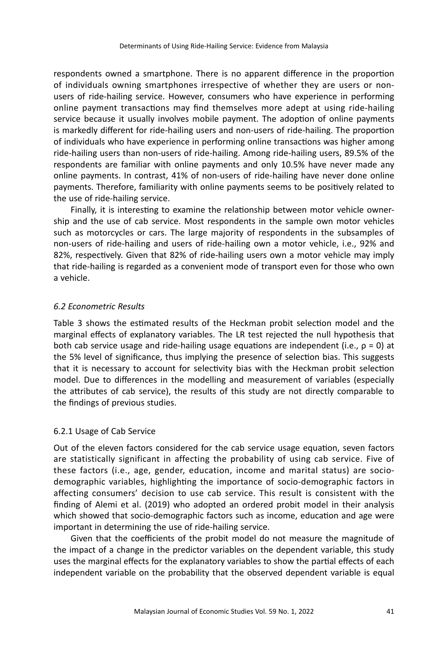respondents owned a smartphone. There is no apparent difference in the proportion of individuals owning smartphones irrespective of whether they are users or nonusers of ride-hailing service. However, consumers who have experience in performing online payment transactions may find themselves more adept at using ride-hailing service because it usually involves mobile payment. The adoption of online payments is markedly different for ride-hailing users and non-users of ride-hailing. The proportion of individuals who have experience in performing online transactions was higher among ride-hailing users than non-users of ride-hailing. Among ride-hailing users, 89.5% of the respondents are familiar with online payments and only 10.5% have never made any online payments. In contrast, 41% of non-users of ride-hailing have never done online payments. Therefore, familiarity with online payments seems to be positively related to the use of ride-hailing service.

Finally, it is interesting to examine the relationship between motor vehicle ownership and the use of cab service. Most respondents in the sample own motor vehicles such as motorcycles or cars. The large majority of respondents in the subsamples of non-users of ride-hailing and users of ride-hailing own a motor vehicle, i.e., 92% and 82%, respectively. Given that 82% of ride-hailing users own a motor vehicle may imply that ride-hailing is regarded as a convenient mode of transport even for those who own a vehicle.

#### *6.2 Econometric Results*

Table 3 shows the estimated results of the Heckman probit selection model and the marginal effects of explanatory variables. The LR test rejected the null hypothesis that both cab service usage and ride-hailing usage equations are independent (i.e.,  $\rho = 0$ ) at the 5% level of significance, thus implying the presence of selection bias. This suggests that it is necessary to account for selectivity bias with the Heckman probit selection model. Due to differences in the modelling and measurement of variables (especially the attributes of cab service), the results of this study are not directly comparable to the findings of previous studies.

#### 6.2.1 Usage of Cab Service

Out of the eleven factors considered for the cab service usage equation, seven factors are statistically significant in affecting the probability of using cab service. Five of these factors (i.e., age, gender, education, income and marital status) are sociodemographic variables, highlighting the importance of socio-demographic factors in affecting consumers' decision to use cab service. This result is consistent with the finding of Alemi et al. (2019) who adopted an ordered probit model in their analysis which showed that socio-demographic factors such as income, education and age were important in determining the use of ride-hailing service.

Given that the coefficients of the probit model do not measure the magnitude of the impact of a change in the predictor variables on the dependent variable, this study uses the marginal effects for the explanatory variables to show the partial effects of each independent variable on the probability that the observed dependent variable is equal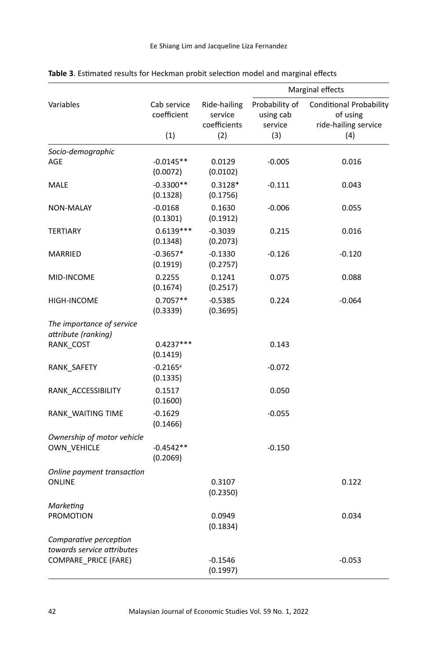|                                                                              |                                    |                                                | Marginal effects                              |                                                                           |  |
|------------------------------------------------------------------------------|------------------------------------|------------------------------------------------|-----------------------------------------------|---------------------------------------------------------------------------|--|
| Variables                                                                    | Cab service<br>coefficient<br>(1)  | Ride-hailing<br>service<br>coefficients<br>(2) | Probability of<br>using cab<br>service<br>(3) | <b>Conditional Probability</b><br>of using<br>ride-hailing service<br>(4) |  |
|                                                                              |                                    |                                                |                                               |                                                                           |  |
| Socio-demographic<br>AGE                                                     | $-0.0145**$<br>(0.0072)            | 0.0129<br>(0.0102)                             | $-0.005$                                      | 0.016                                                                     |  |
| MALE                                                                         | $-0.3300**$<br>(0.1328)            | $0.3128*$<br>(0.1756)                          | $-0.111$                                      | 0.043                                                                     |  |
| <b>NON-MALAY</b>                                                             | $-0.0168$<br>(0.1301)              | 0.1630<br>(0.1912)                             | $-0.006$                                      | 0.055                                                                     |  |
| <b>TERTIARY</b>                                                              | $0.6139***$<br>(0.1348)            | $-0.3039$<br>(0.2073)                          | 0.215                                         | 0.016                                                                     |  |
| MARRIED                                                                      | $-0.3657*$<br>(0.1919)             | $-0.1330$<br>(0.2757)                          | $-0.126$                                      | -0.120                                                                    |  |
| MID-INCOME                                                                   | 0.2255<br>(0.1674)                 | 0.1241<br>(0.2517)                             | 0.075                                         | 0.088                                                                     |  |
| HIGH-INCOME                                                                  | $0.7057**$<br>(0.3339)             | $-0.5385$<br>(0.3695)                          | 0.224                                         | -0.064                                                                    |  |
| The importance of service<br>attribute (ranking)                             |                                    |                                                |                                               |                                                                           |  |
| RANK_COST                                                                    | $0.4237***$<br>(0.1419)            |                                                | 0.143                                         |                                                                           |  |
| RANK SAFETY                                                                  | $-0.2165$ <sup>a</sup><br>(0.1335) |                                                | -0.072                                        |                                                                           |  |
| RANK ACCESSIBILITY                                                           | 0.1517<br>(0.1600)                 |                                                | 0.050                                         |                                                                           |  |
| RANK_WAITING TIME                                                            | $-0.1629$<br>(0.1466)              |                                                | $-0.055$                                      |                                                                           |  |
| Ownership of motor vehicle<br><b>OWN VEHICLE</b>                             | $-0.4542**$<br>(0.2069)            |                                                | $-0.150$                                      |                                                                           |  |
| Online payment transaction<br><b>ONLINE</b>                                  |                                    | 0.3107<br>(0.2350)                             |                                               | 0.122                                                                     |  |
| Marketing<br><b>PROMOTION</b>                                                |                                    | 0.0949<br>(0.1834)                             |                                               | 0.034                                                                     |  |
| Comparative perception<br>towards service attributes<br>COMPARE_PRICE (FARE) |                                    | $-0.1546$<br>(0.1997)                          |                                               | $-0.053$                                                                  |  |

# **Table 3**. Estimated results for Heckman probit selection model and marginal effects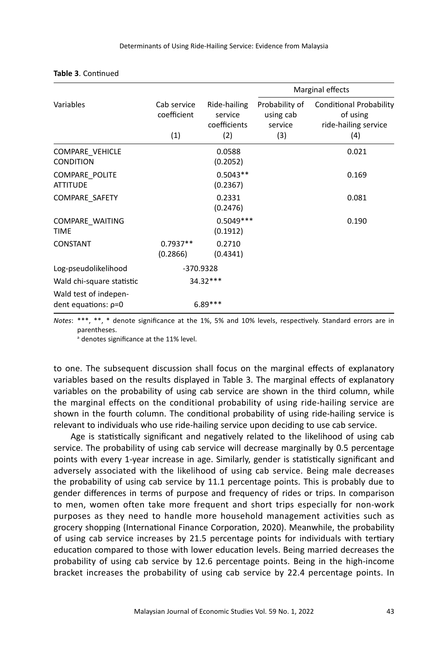|                                                                             |                                   | Ride-hailing<br>service<br>coefficients<br>(2) | Marginal effects                              |                                                                           |  |
|-----------------------------------------------------------------------------|-----------------------------------|------------------------------------------------|-----------------------------------------------|---------------------------------------------------------------------------|--|
| Variables                                                                   | Cab service<br>coefficient<br>(1) |                                                | Probability of<br>using cab<br>service<br>(3) | <b>Conditional Probability</b><br>of using<br>ride-hailing service<br>(4) |  |
| <b>COMPARE VEHICLE</b><br><b>CONDITION</b>                                  |                                   | 0.0588<br>(0.2052)                             |                                               | 0.021                                                                     |  |
| <b>COMPARE POLITE</b><br><b>ATTITUDE</b>                                    |                                   | $0.5043**$<br>(0.2367)                         |                                               | 0.169                                                                     |  |
| COMPARE SAFETY                                                              |                                   | 0.2331<br>(0.2476)                             |                                               | 0.081                                                                     |  |
| COMPARE WAITING<br><b>TIME</b>                                              |                                   | $0.5049***$<br>(0.1912)                        |                                               | 0.190                                                                     |  |
| <b>CONSTANT</b>                                                             | $0.7937**$<br>(0.2866)            | 0.2710<br>(0.4341)                             |                                               |                                                                           |  |
| Log-pseudolikelihood                                                        | -370.9328                         |                                                |                                               |                                                                           |  |
| Wald chi-square statistic<br>Wald test of indepen-<br>dent equations: $p=0$ |                                   | 34.32***<br>$6.89***$                          |                                               |                                                                           |  |

#### **Table 3**. Continued

*Notes*: \*\*\*, \*\*, \* denote significance at the 1%, 5% and 10% levels, respectively. Standard errors are in parentheses.

a denotes significance at the 11% level.

to one. The subsequent discussion shall focus on the marginal effects of explanatory variables based on the results displayed in Table 3. The marginal effects of explanatory variables on the probability of using cab service are shown in the third column, while the marginal effects on the conditional probability of using ride-hailing service are shown in the fourth column. The conditional probability of using ride-hailing service is relevant to individuals who use ride-hailing service upon deciding to use cab service.

Age is statistically significant and negatively related to the likelihood of using cab service. The probability of using cab service will decrease marginally by 0.5 percentage points with every 1-year increase in age. Similarly, gender is statistically significant and adversely associated with the likelihood of using cab service. Being male decreases the probability of using cab service by 11.1 percentage points. This is probably due to gender differences in terms of purpose and frequency of rides or trips. In comparison to men, women often take more frequent and short trips especially for non-work purposes as they need to handle more household management activities such as grocery shopping (International Finance Corporation, 2020). Meanwhile, the probability of using cab service increases by 21.5 percentage points for individuals with tertiary education compared to those with lower education levels. Being married decreases the probability of using cab service by 12.6 percentage points. Being in the high-income bracket increases the probability of using cab service by 22.4 percentage points. In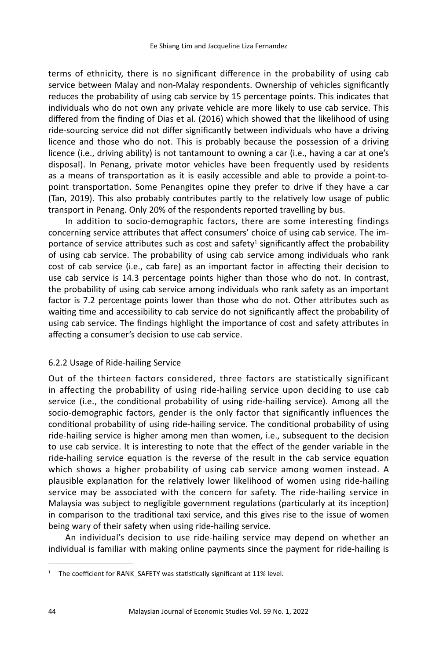terms of ethnicity, there is no significant difference in the probability of using cab service between Malay and non-Malay respondents. Ownership of vehicles significantly reduces the probability of using cab service by 15 percentage points. This indicates that individuals who do not own any private vehicle are more likely to use cab service. This differed from the finding of Dias et al. (2016) which showed that the likelihood of using ride-sourcing service did not differ significantly between individuals who have a driving licence and those who do not. This is probably because the possession of a driving licence (i.e., driving ability) is not tantamount to owning a car (i.e., having a car at one's disposal). In Penang, private motor vehicles have been frequently used by residents as a means of transportation as it is easily accessible and able to provide a point-topoint transportation. Some Penangites opine they prefer to drive if they have a car (Tan, 2019). This also probably contributes partly to the relatively low usage of public transport in Penang. Only 20% of the respondents reported travelling by bus.

In addition to socio-demographic factors, there are some interesting findings concerning service attributes that affect consumers' choice of using cab service. The importance of service attributes such as cost and safety<sup>1</sup> significantly affect the probability of using cab service. The probability of using cab service among individuals who rank cost of cab service (i.e., cab fare) as an important factor in affecting their decision to use cab service is 14.3 percentage points higher than those who do not. In contrast, the probability of using cab service among individuals who rank safety as an important factor is 7.2 percentage points lower than those who do not. Other attributes such as waiting time and accessibility to cab service do not significantly affect the probability of using cab service. The findings highlight the importance of cost and safety attributes in affecting a consumer's decision to use cab service.

# 6.2.2 Usage of Ride-hailing Service

Out of the thirteen factors considered, three factors are statistically significant in affecting the probability of using ride-hailing service upon deciding to use cab service (i.e., the conditional probability of using ride-hailing service). Among all the socio-demographic factors, gender is the only factor that significantly influences the conditional probability of using ride-hailing service. The conditional probability of using ride-hailing service is higher among men than women, i.e., subsequent to the decision to use cab service. It is interesting to note that the effect of the gender variable in the ride-hailing service equation is the reverse of the result in the cab service equation which shows a higher probability of using cab service among women instead. A plausible explanation for the relatively lower likelihood of women using ride-hailing service may be associated with the concern for safety. The ride-hailing service in Malaysia was subject to negligible government regulations (particularly at its inception) in comparison to the traditional taxi service, and this gives rise to the issue of women being wary of their safety when using ride-hailing service.

An individual's decision to use ride-hailing service may depend on whether an individual is familiar with making online payments since the payment for ride-hailing is

<sup>&</sup>lt;sup>1</sup> The coefficient for RANK SAFETY was statistically significant at 11% level.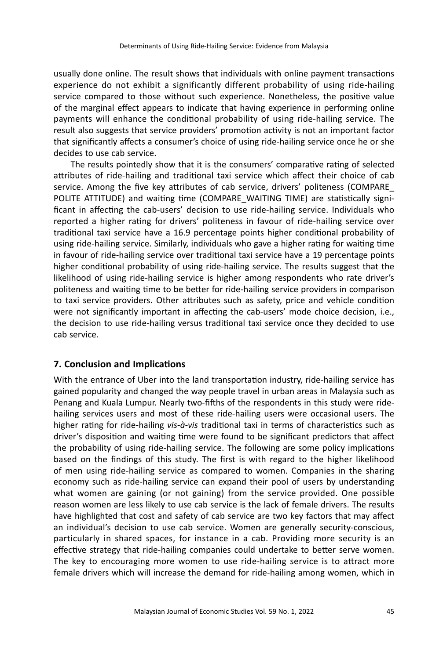usually done online. The result shows that individuals with online payment transactions experience do not exhibit a significantly different probability of using ride-hailing service compared to those without such experience. Nonetheless, the positive value of the marginal effect appears to indicate that having experience in performing online payments will enhance the conditional probability of using ride-hailing service. The result also suggests that service providers' promotion activity is not an important factor that significantly affects a consumer's choice of using ride-hailing service once he or she decides to use cab service.

The results pointedly show that it is the consumers' comparative rating of selected attributes of ride-hailing and traditional taxi service which affect their choice of cab service. Among the five key attributes of cab service, drivers' politeness (COMPARE\_ POLITE ATTITUDE) and waiting time (COMPARE\_WAITING TIME) are statistically significant in affecting the cab-users' decision to use ride-hailing service. Individuals who reported a higher rating for drivers' politeness in favour of ride-hailing service over traditional taxi service have a 16.9 percentage points higher conditional probability of using ride-hailing service. Similarly, individuals who gave a higher rating for waiting time in favour of ride-hailing service over traditional taxi service have a 19 percentage points higher conditional probability of using ride-hailing service. The results suggest that the likelihood of using ride-hailing service is higher among respondents who rate driver's politeness and waiting time to be better for ride-hailing service providers in comparison to taxi service providers. Other attributes such as safety, price and vehicle condition were not significantly important in affecting the cab-users' mode choice decision, i.e., the decision to use ride-hailing versus traditional taxi service once they decided to use cab service.

# **7. Conclusion and Implications**

With the entrance of Uber into the land transportation industry, ride-hailing service has gained popularity and changed the way people travel in urban areas in Malaysia such as Penang and Kuala Lumpur. Nearly two-fifths of the respondents in this study were ridehailing services users and most of these ride-hailing users were occasional users. The higher rating for ride-hailing *vis-à-vis* traditional taxi in terms of characteristics such as driver's disposition and waiting time were found to be significant predictors that affect the probability of using ride-hailing service. The following are some policy implications based on the findings of this study. The first is with regard to the higher likelihood of men using ride-hailing service as compared to women. Companies in the sharing economy such as ride-hailing service can expand their pool of users by understanding what women are gaining (or not gaining) from the service provided. One possible reason women are less likely to use cab service is the lack of female drivers. The results have highlighted that cost and safety of cab service are two key factors that may affect an individual's decision to use cab service. Women are generally security-conscious, particularly in shared spaces, for instance in a cab. Providing more security is an effective strategy that ride-hailing companies could undertake to better serve women. The key to encouraging more women to use ride-hailing service is to attract more female drivers which will increase the demand for ride-hailing among women, which in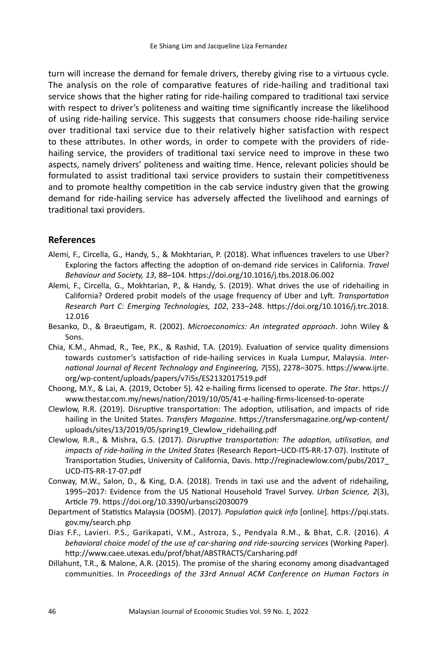turn will increase the demand for female drivers, thereby giving rise to a virtuous cycle. The analysis on the role of comparative features of ride-hailing and traditional taxi service shows that the higher rating for ride-hailing compared to traditional taxi service with respect to driver's politeness and waiting time significantly increase the likelihood of using ride-hailing service. This suggests that consumers choose ride-hailing service over traditional taxi service due to their relatively higher satisfaction with respect to these attributes. In other words, in order to compete with the providers of ridehailing service, the providers of traditional taxi service need to improve in these two aspects, namely drivers' politeness and waiting time. Hence, relevant policies should be formulated to assist traditional taxi service providers to sustain their competitiveness and to promote healthy competition in the cab service industry given that the growing demand for ride-hailing service has adversely affected the livelihood and earnings of traditional taxi providers.

#### **References**

- Alemi, F., Circella, G., Handy, S., & Mokhtarian, P. (2018). What influences travelers to use Uber? Exploring the factors affecting the adoption of on-demand ride services in California. *Travel Behaviour and Society, 13*, 88–104. https://doi.org/10.1016/j.tbs.2018.06.002
- Alemi, F., Circella, G., Mokhtarian, P., & Handy, S. (2019). What drives the use of ridehailing in California? Ordered probit models of the usage frequency of Uber and Lyft. *Transportation Research Part C: Emerging Technologies, 102*, 233–248. https://doi.org/10.1016/j.trc.2018. 12.016
- Besanko, D., & Braeutigam, R. (2002). *Microeconomics: An integrated approach*. John Wiley & Sons.
- Chia, K.M., Ahmad, R., Tee, P.K., & Rashid, T.A. (2019). Evaluation of service quality dimensions towards customer's satisfaction of ride-hailing services in Kuala Lumpur, Malaysia. *International Journal of Recent Technology and Engineering, 7*(5S), 2278–3075. https://www.ijrte. org/wp-content/uploads/papers/v7i5s/ES2132017519.pdf
- Choong, M.Y., & Lai, A. (2019, October 5). 42 e-hailing firms licensed to operate. *The Star*. https:// www.thestar.com.my/news/nation/2019/10/05/41-e-hailing-firms-licensed-to-operate
- Clewlow, R.R. (2019). Disruptive transportation: The adoption, utilisation, and impacts of ride hailing in the United States. *Transfers Magazine*. https://transfersmagazine.org/wp-content/ uploads/sites/13/2019/05/spring19\_Clewlow\_ridehailing.pdf
- Clewlow, R.R., & Mishra, G.S. (2017). *Disruptive transportation: The adoption, utilisation, and impacts of ride-hailing in the United States* (Research Report–UCD-ITS-RR-17-07). Institute of Transportation Studies, University of California, Davis. http://reginaclewlow.com/pubs/2017\_ UCD-ITS-RR-17-07.pdf
- Conway, M.W., Salon, D., & King, D.A. (2018). Trends in taxi use and the advent of ridehailing, 1995–2017: Evidence from the US National Household Travel Survey. *Urban Science, 2*(3), Article 79. https://doi.org/10.3390/urbansci2030079
- Department of Statistics Malaysia (DOSM). (2017). *Population quick info* [online]. https://pqi.stats. gov.my/search.php
- Dias F.F., Lavieri. P.S., Garikapati, V.M., Astroza, S., Pendyala R.M., & Bhat, C.R. (2016). *A behavioral choice model of the use of car-sharing and ride-sourcing services* (Working Paper). http://www.caee.utexas.edu/prof/bhat/ABSTRACTS/Carsharing.pdf
- Dillahunt, T.R., & Malone, A.R. (2015). The promise of the sharing economy among disadvantaged communities. In *Proceedings of the 33rd Annual ACM Conference on Human Factors in*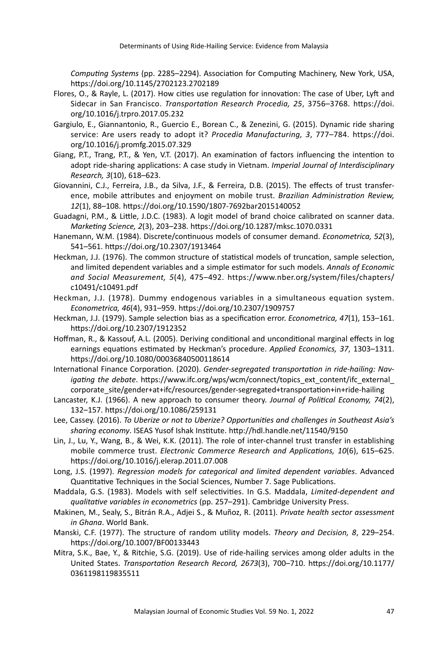*Computing Systems* (pp. 2285–2294). Association for Computing Machinery, New York, USA, https://doi.org/10.1145/2702123.2702189

- Flores, O., & Rayle, L. (2017). How cities use regulation for innovation: The case of Uber, Lyft and Sidecar in San Francisco. *Transportation Research Procedia, 25*, 3756–3768. https://doi. org/10.1016/j.trpro.2017.05.232
- Gargiulo, E., Giannantonio, R., Guercio E., Borean C., & Zenezini, G. (2015). Dynamic ride sharing service: Are users ready to adopt it? *Procedia Manufacturing, 3*, 777–784. https://doi. org/10.1016/j.promfg.2015.07.329
- Giang, P.T., Trang, P.T., & Yen, V.T. (2017). An examination of factors influencing the intention to adopt ride-sharing applications: A case study in Vietnam. *Imperial Journal of Interdisciplinary Research, 3*(10), 618–623.
- Giovannini, C.J., Ferreira, J.B., da Silva, J.F., & Ferreira, D.B. (2015). The effects of trust transference, mobile attributes and enjoyment on mobile trust. *Brazilian Administration Review, 12*(1), 88–108. https://doi.org/10.1590/1807-7692bar2015140052
- Guadagni, P.M., & Little, J.D.C. (1983). A logit model of brand choice calibrated on scanner data. *Marketing Science, 2*(3), 203–238. https://doi.org/10.1287/mksc.1070.0331
- Hanemann, W.M. (1984). Discrete/continuous models of consumer demand. *Econometrica, 52*(3), 541–561. https://doi.org/10.2307/1913464
- Heckman, J.J. (1976). The common structure of statistical models of truncation, sample selection, and limited dependent variables and a simple estimator for such models. *Annals of Economic and Social Measurement, 5*(4), 475–492. https://www.nber.org/system/files/chapters/ c10491/c10491.pdf
- Heckman, J.J. (1978). Dummy endogenous variables in a simultaneous equation system. *Econometrica, 46*(4), 931–959. https://doi.org/10.2307/1909757
- Heckman, J.J. (1979). Sample selection bias as a specification error. *Econometrica, 47*(1), 153–161. https://doi.org/10.2307/1912352
- Hoffman, R., & Kassouf, A.L. (2005). Deriving conditional and unconditional marginal effects in log earnings equations estimated by Heckman's procedure. *Applied Economics, 37*, 1303–1311. https://doi.org/10.1080/00036840500118614
- International Finance Corporation. (2020). *Gender-segregated transportation in ride-hailing: Navigating the debate*. https://www.ifc.org/wps/wcm/connect/topics\_ext\_content/ifc\_external corporate\_site/gender+at+ifc/resources/gender-segregated+transportation+in+ride-hailing
- Lancaster, K.J. (1966). A new approach to consumer theory. *Journal of Political Economy, 74*(2), 132–157. https://doi.org/10.1086/259131
- Lee, Cassey. (2016). *To Uberize or not to Uberize? Opportunities and challenges in Southeast Asia's sharing economy*. ISEAS Yusof Ishak Institute. http://hdl.handle.net/11540/9150
- Lin, J., Lu, Y., Wang, B., & Wei, K.K. (2011). The role of inter-channel trust transfer in establishing mobile commerce trust. *Electronic Commerce Research and Applications, 10*(6), 615–625. https://doi.org/10.1016/j.elerap.2011.07.008
- Long, J.S. (1997). *Regression models for categorical and limited dependent variables*. Advanced Quantitative Techniques in the Social Sciences, Number 7. Sage Publications.
- Maddala, G.S. (1983). Models with self selectivities. In G.S. Maddala, *Limited-dependent and qualitative variables in econometrics* (pp. 257–291). Cambridge University Press.
- Makinen, M., Sealy, S., Bitrán R.A., Adjei S., & Muñoz, R. (2011). *Private health sector assessment in Ghana*. World Bank.
- Manski, C.F. (1977). The structure of random utility models. *Theory and Decision, 8*, 229–254. https://doi.org/10.1007/BF00133443
- Mitra, S.K., Bae, Y., & Ritchie, S.G. (2019). Use of ride-hailing services among older adults in the United States. *Transportation Research Record, 2673*(3), 700–710. https://doi.org/10.1177/ 0361198119835511